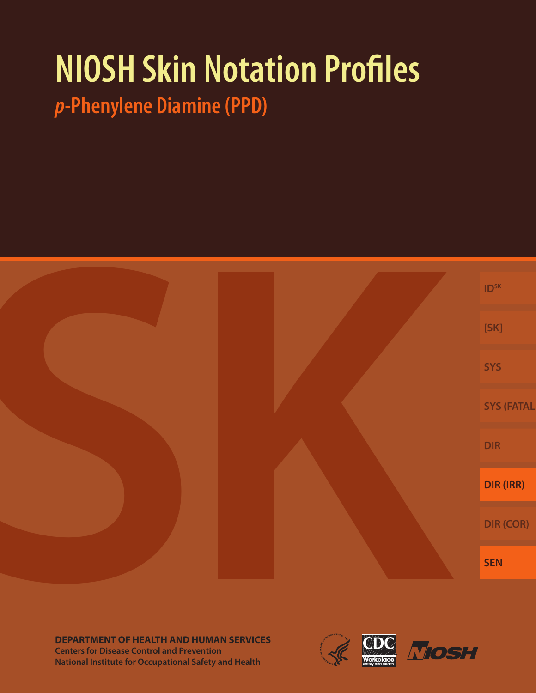# **NIOSH Skin Notation Profiles**

*p***-Phenylene Diamine (PPD)**



**DEPARTMENT OF HEALTH AND HUMAN SERVICES Centers for Disease Control and Prevention National Institute for Occupational Safety and Health**



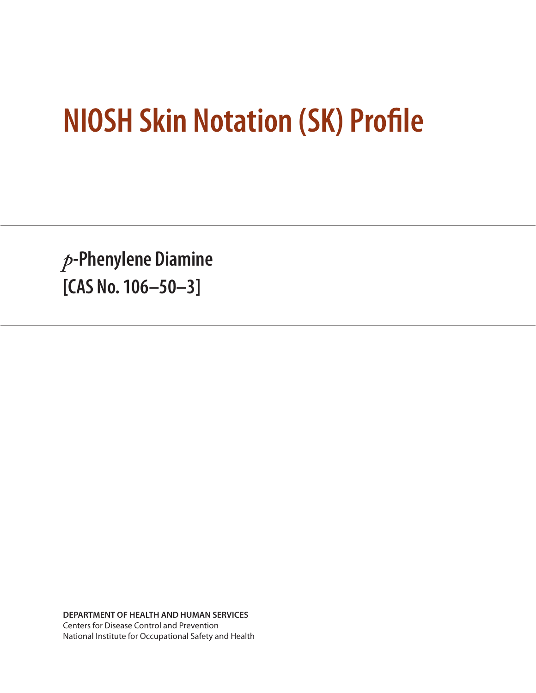## **NIOSH Skin Notation (SK) Profile**

*p***-Phenylene Diamine [CAS No. 106–50–3]**

**DEPARTMENT OF HEALTH AND HUMAN SERVICES** Centers for Disease Control and Prevention National Institute for Occupational Safety and Health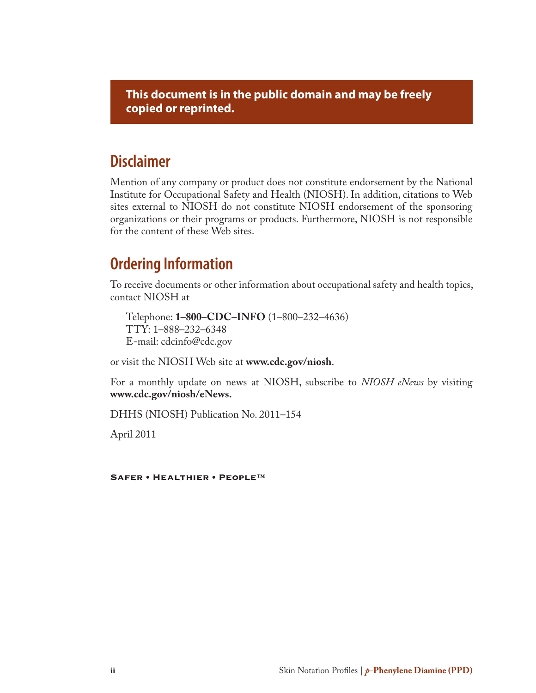**This document is in the public domain and may be freely copied or reprinted.**

## **Disclaimer**

Mention of any company or product does not constitute endorsement by the National Institute for Occupational Safety and Health (NIOSH). In addition, citations to Web sites external to NIOSH do not constitute NIOSH endorsement of the sponsoring organizations or their programs or products. Furthermore, NIOSH is not responsible for the content of these Web sites.

## **Ordering Information**

To receive documents or other information about occupational safety and health topics, contact NIOSH at

Telephone: **1–800–CDC–INFO** (1–800–232–4636) TTY: 1–888–232–6348 E-mail: cdcinfo@cdc.gov

or visit the NIOSH Web site at **www.cdc.gov/niosh**.

For a monthly update on news at NIOSH, subscribe to *NIOSH eNews* by visiting **www.cdc.gov/niosh/eNews.**

DHHS (NIOSH) Publication No. 2011–154

April 2011

Safer • Healthier • People™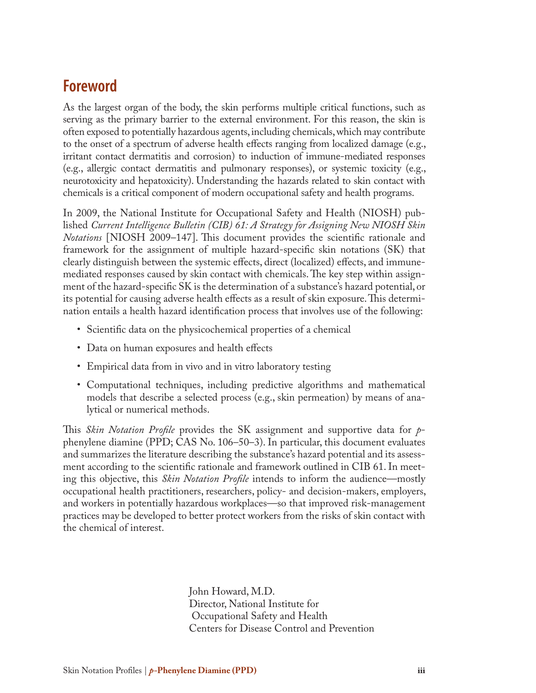## **Foreword**

As the largest organ of the body, the skin performs multiple critical functions, such as serving as the primary barrier to the external environment. For this reason, the skin is often exposed to potentially hazardous agents, including chemicals, which may contribute to the onset of a spectrum of adverse health effects ranging from localized damage (e.g., irritant contact dermatitis and corrosion) to induction of immune-mediated responses (e.g., allergic contact dermatitis and pulmonary responses), or systemic toxicity (e.g., neurotoxicity and hepatoxicity). Understanding the hazards related to skin contact with chemicals is a critical component of modern occupational safety and health programs.

In 2009, the National Institute for Occupational Safety and Health (NIOSH) published *Current Intelligence Bulletin (CIB) 61: A Strategy for Assigning New NIOSH Skin Notations* [NIOSH 2009–147]. This document provides the scientific rationale and framework for the assignment of multiple hazard-specific skin notations (SK) that clearly distinguish between the systemic effects, direct (localized) effects, and immunemediated responses caused by skin contact with chemicals. The key step within assignment of the hazard-specific SK is the determination of a substance's hazard potential, or its potential for causing adverse health effects as a result of skin exposure. This determination entails a health hazard identification process that involves use of the following:

- Scientific data on the physicochemical properties of a chemical
- Data on human exposures and health effects
- Empirical data from in vivo and in vitro laboratory testing
- Computational techniques, including predictive algorithms and mathematical models that describe a selected process (e.g., skin permeation) by means of analytical or numerical methods.

This *Skin Notation Profile* provides the SK assignment and supportive data for *p*phenylene diamine (PPD; CAS No. 106–50–3). In particular, this document evaluates and summarizes the literature describing the substance's hazard potential and its assessment according to the scientific rationale and framework outlined in CIB 61. In meeting this objective, this *Skin Notation Profile* intends to inform the audience—mostly occupational health practitioners, researchers, policy- and decision-makers, employers, and workers in potentially hazardous workplaces—so that improved risk-management practices may be developed to better protect workers from the risks of skin contact with the chemical of interest.

> John Howard, M.D. Director, National Institute for Occupational Safety and Health Centers for Disease Control and Prevention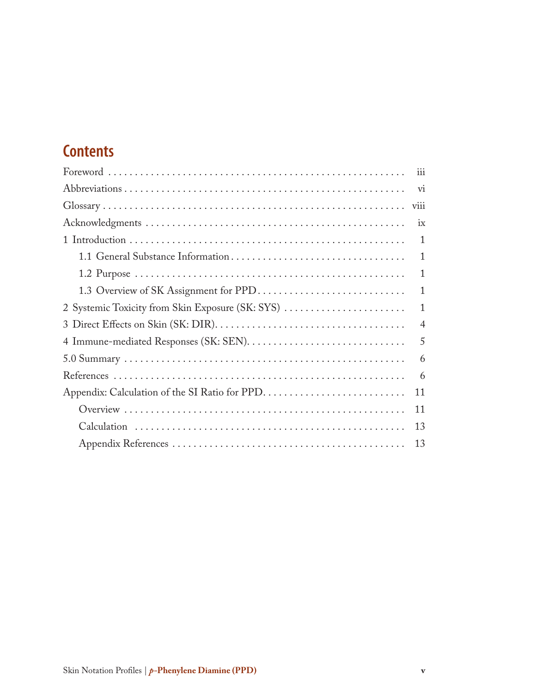## **Contents**

| iii                      |
|--------------------------|
| $\overline{\mathrm{vi}}$ |
| viii                     |
| ix                       |
| 1                        |
| $\mathbf{1}$             |
| $\mathbf{1}$             |
| $\mathbf{1}$             |
| $\mathbf{1}$             |
| $\overline{4}$           |
| 5                        |
| 6                        |
| 6                        |
| 11                       |
| 11                       |
| 13                       |
| 13                       |
|                          |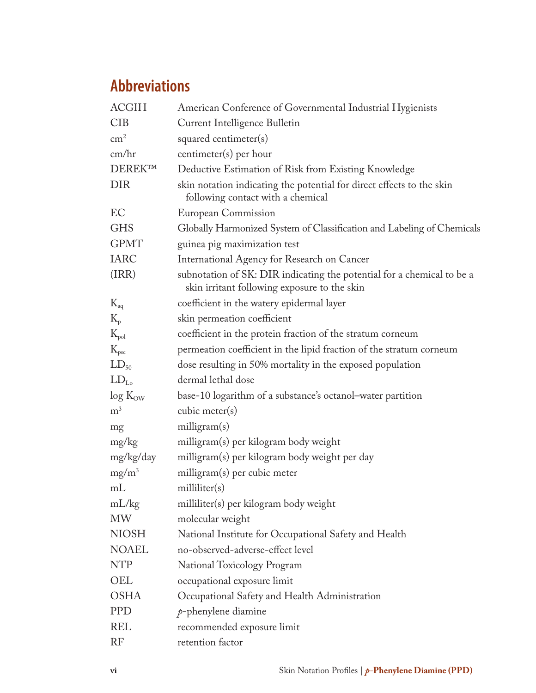## **Abbreviations**

| <b>ACGIH</b>   | American Conference of Governmental Industrial Hygienists                                                              |  |  |
|----------------|------------------------------------------------------------------------------------------------------------------------|--|--|
| <b>CIB</b>     | Current Intelligence Bulletin                                                                                          |  |  |
| $\rm cm^2$     | squared centimeter(s)                                                                                                  |  |  |
| cm/hr          | centimeter(s) per hour                                                                                                 |  |  |
| DEREK™         | Deductive Estimation of Risk from Existing Knowledge                                                                   |  |  |
| <b>DIR</b>     | skin notation indicating the potential for direct effects to the skin<br>following contact with a chemical             |  |  |
| EC             | European Commission                                                                                                    |  |  |
| <b>GHS</b>     | Globally Harmonized System of Classification and Labeling of Chemicals                                                 |  |  |
| <b>GPMT</b>    | guinea pig maximization test                                                                                           |  |  |
| <b>IARC</b>    | International Agency for Research on Cancer                                                                            |  |  |
| (IRR)          | subnotation of SK: DIR indicating the potential for a chemical to be a<br>skin irritant following exposure to the skin |  |  |
| $K_{aq}$       | coefficient in the watery epidermal layer                                                                              |  |  |
| $K_{p}$        | skin permeation coefficient                                                                                            |  |  |
| $K_{pol}$      | coefficient in the protein fraction of the stratum corneum                                                             |  |  |
| $K_{\rm psc}$  | permeation coefficient in the lipid fraction of the stratum corneum                                                    |  |  |
| $LD_{50}$      | dose resulting in 50% mortality in the exposed population                                                              |  |  |
| $LD_{L_0}$     | dermal lethal dose                                                                                                     |  |  |
| $log K_{OW}$   | base-10 logarithm of a substance's octanol-water partition                                                             |  |  |
| m <sup>3</sup> | cubic meter $(s)$                                                                                                      |  |  |
| mg             | milligram(s)                                                                                                           |  |  |
| mg/kg          | milligram(s) per kilogram body weight                                                                                  |  |  |
| mg/kg/day      | milligram(s) per kilogram body weight per day                                                                          |  |  |
| $mg/m^3$       | milligram(s) per cubic meter                                                                                           |  |  |
| mL             | milliliter(s)                                                                                                          |  |  |
| mL/kg          | milliliter(s) per kilogram body weight                                                                                 |  |  |
| <b>MW</b>      | molecular weight                                                                                                       |  |  |
| <b>NIOSH</b>   | National Institute for Occupational Safety and Health                                                                  |  |  |
| <b>NOAEL</b>   | no-observed-adverse-effect level                                                                                       |  |  |
| <b>NTP</b>     | National Toxicology Program                                                                                            |  |  |
| OEL            | occupational exposure limit                                                                                            |  |  |
| <b>OSHA</b>    | Occupational Safety and Health Administration                                                                          |  |  |
| <b>PPD</b>     | $p$ -phenylene diamine                                                                                                 |  |  |
| <b>REL</b>     | recommended exposure limit                                                                                             |  |  |
| <b>RF</b>      | retention factor                                                                                                       |  |  |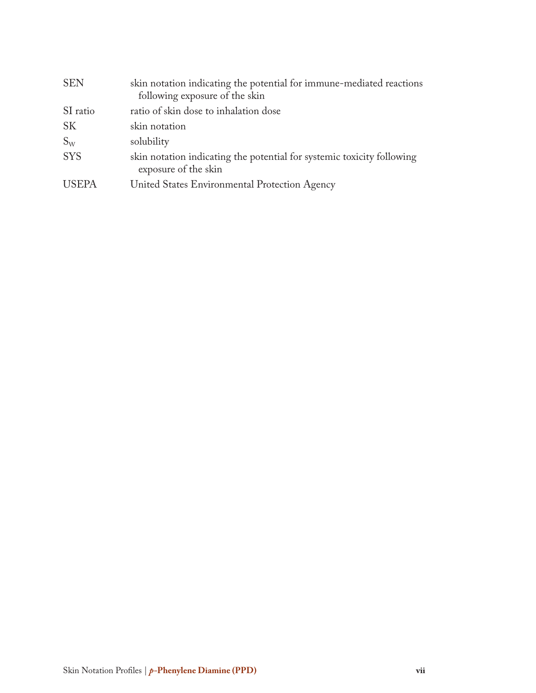| <b>SEN</b>   | skin notation indicating the potential for immune-mediated reactions<br>following exposure of the skin |
|--------------|--------------------------------------------------------------------------------------------------------|
| SI ratio     | ratio of skin dose to inhalation dose                                                                  |
| <b>SK</b>    | skin notation                                                                                          |
| $S_{W}$      | solubility                                                                                             |
| <b>SYS</b>   | skin notation indicating the potential for systemic toxicity following<br>exposure of the skin         |
| <b>USEPA</b> | United States Environmental Protection Agency                                                          |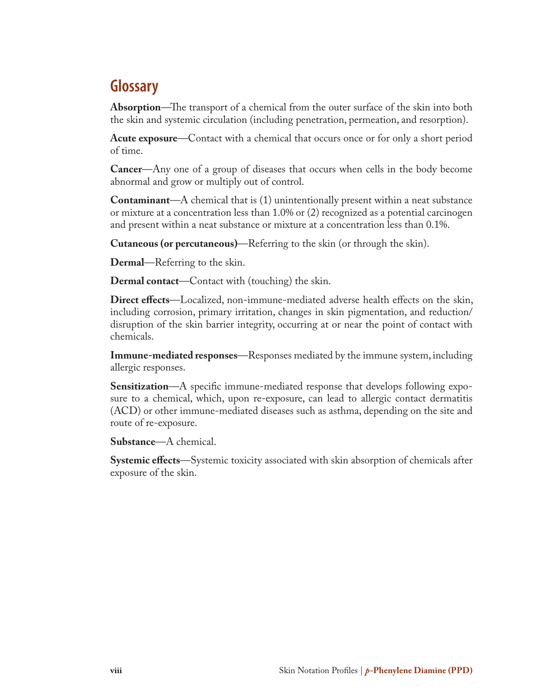## **Glossary**

**Absorption**—The transport of a chemical from the outer surface of the skin into both the skin and systemic circulation (including penetration, permeation, and resorption).

**Acute exposure**—Contact with a chemical that occurs once or for only a short period of time.

**Cancer**—Any one of a group of diseases that occurs when cells in the body become abnormal and grow or multiply out of control.

**Contaminant**—A chemical that is (1) unintentionally present within a neat substance or mixture at a concentration less than 1.0% or (2) recognized as a potential carcinogen and present within a neat substance or mixture at a concentration less than 0.1%.

**Cutaneous (or percutaneous)**—Referring to the skin (or through the skin).

**Dermal**—Referring to the skin.

**Dermal contact**—Contact with (touching) the skin.

**Direct effects**—Localized, non-immune-mediated adverse health effects on the skin, including corrosion, primary irritation, changes in skin pigmentation, and reduction/ disruption of the skin barrier integrity, occurring at or near the point of contact with chemicals.

**Immune-mediated responses**—Responses mediated by the immune system, including allergic responses.

**Sensitization**—A specific immune-mediated response that develops following exposure to a chemical, which, upon re-exposure, can lead to allergic contact dermatitis (ACD) or other immune-mediated diseases such as asthma, depending on the site and route of re-exposure.

**Substance**—A chemical.

**Systemic effects**—Systemic toxicity associated with skin absorption of chemicals after exposure of the skin.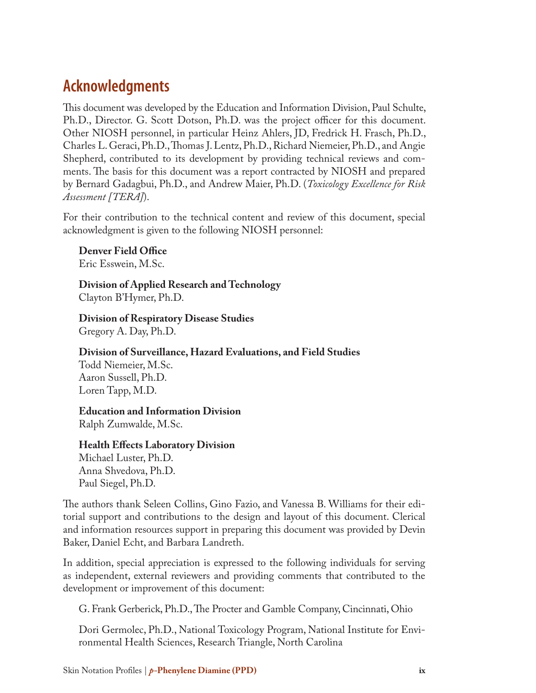## **Acknowledgments**

This document was developed by the Education and Information Division, Paul Schulte, Ph.D., Director. G. Scott Dotson, Ph.D. was the project officer for this document. Other NIOSH personnel, in particular Heinz Ahlers, JD, Fredrick H. Frasch, Ph.D., Charles L. Geraci, Ph.D., Thomas J. Lentz, Ph.D., Richard Niemeier, Ph.D., and Angie Shepherd, contributed to its development by providing technical reviews and comments. The basis for this document was a report contracted by NIOSH and prepared by Bernard Gadagbui, Ph.D., and Andrew Maier, Ph.D. (*Toxicology Excellence for Risk Assessment [TERA]*).

For their contribution to the technical content and review of this document, special acknowledgment is given to the following NIOSH personnel:

**Denver Field Office** Eric Esswein, M.Sc.

**Division of Applied Research and Technology**  Clayton B'Hymer, Ph.D.

**Division of Respiratory Disease Studies** Gregory A. Day, Ph.D.

**Division of Surveillance, Hazard Evaluations, and Field Studies** Todd Niemeier, M.Sc.

Aaron Sussell, Ph.D. Loren Tapp, M.D.

#### **Education and Information Division**

Ralph Zumwalde, M.Sc.

**Health Effects Laboratory Division**

Michael Luster, Ph.D. Anna Shvedova, Ph.D. Paul Siegel, Ph.D.

The authors thank Seleen Collins, Gino Fazio, and Vanessa B. Williams for their editorial support and contributions to the design and layout of this document. Clerical and information resources support in preparing this document was provided by Devin Baker, Daniel Echt, and Barbara Landreth.

In addition, special appreciation is expressed to the following individuals for serving as independent, external reviewers and providing comments that contributed to the development or improvement of this document:

G. Frank Gerberick, Ph.D., The Procter and Gamble Company, Cincinnati, Ohio

Dori Germolec, Ph.D., National Toxicology Program, National Institute for Environmental Health Sciences, Research Triangle, North Carolina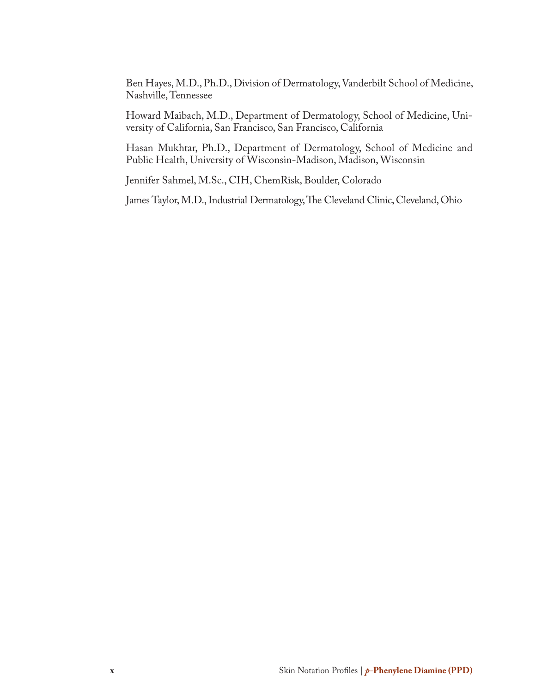Ben Hayes, M.D., Ph.D., Division of Dermatology, Vanderbilt School of Medicine, Nashville, Tennessee

Howard Maibach, M.D., Department of Dermatology, School of Medicine, University of California, San Francisco, San Francisco, California

Hasan Mukhtar, Ph.D., Department of Dermatology, School of Medicine and Public Health, University of Wisconsin-Madison, Madison, Wisconsin

Jennifer Sahmel, M.Sc., CIH, ChemRisk, Boulder, Colorado

James Taylor, M.D., Industrial Dermatology, The Cleveland Clinic, Cleveland, Ohio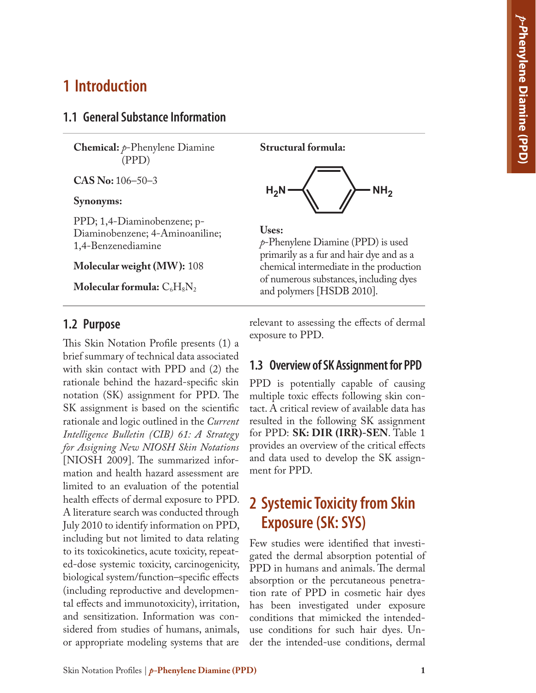## **1 Introduction**

#### **1.1 General Substance Information**

**Chemical:** *p*-Phenylene Diamine (PPD)

**CAS No:** 106–50–3

#### **Synonyms:**

PPD; 1,4-Diaminobenzene; p-Diaminobenzene; 4-Aminoaniline; 1,4-Benzenediamine

**Molecular weight (MW):** 108

**Molecular formula:**  $C_6H_8N_2$ 

#### **1.2 Purpose**

This Skin Notation Profile presents (1) a brief summary of technical data associated with skin contact with PPD and (2) the rationale behind the hazard-specific skin notation (SK) assignment for PPD. The SK assignment is based on the scientific rationale and logic outlined in the *Current Intelligence Bulletin (CIB) 61: A Strategy for Assigning New NIOSH Skin Notations* [NIOSH 2009]. The summarized information and health hazard assessment are limited to an evaluation of the potential health effects of dermal exposure to PPD. A literature search was conducted through July 2010 to identify information on PPD, including but not limited to data relating to its toxicokinetics, acute toxicity, repeated-dose systemic toxicity, carcinogenicity, biological system/function–specific effects (including reproductive and developmental effects and immunotoxicity), irritation, and sensitization. Information was considered from studies of humans, animals, or appropriate modeling systems that are

**Structural formula:**



#### **Uses:**

*p*-Phenylene Diamine (PPD) is used primarily as a fur and hair dye and as a chemical intermediate in the production of numerous substances, including dyes and polymers [HSDB 2010].

relevant to assessing the effects of dermal exposure to PPD.

#### **1.3 Overview of SK Assignment for PPD**

PPD is potentially capable of causing multiple toxic effects following skin contact. A critical review of available data has resulted in the following SK assignment for PPD: **SK: DIR (IRR)-SEN**. Table 1 provides an overview of the critical effects and data used to develop the SK assignment for PPD.

## **2 Systemic Toxicity from Skin Exposure (SK: SYS)**

Few studies were identified that investigated the dermal absorption potential of PPD in humans and animals. The dermal absorption or the percutaneous penetration rate of PPD in cosmetic hair dyes has been investigated under exposure conditions that mimicked the intendeduse conditions for such hair dyes. Under the intended-use conditions, dermal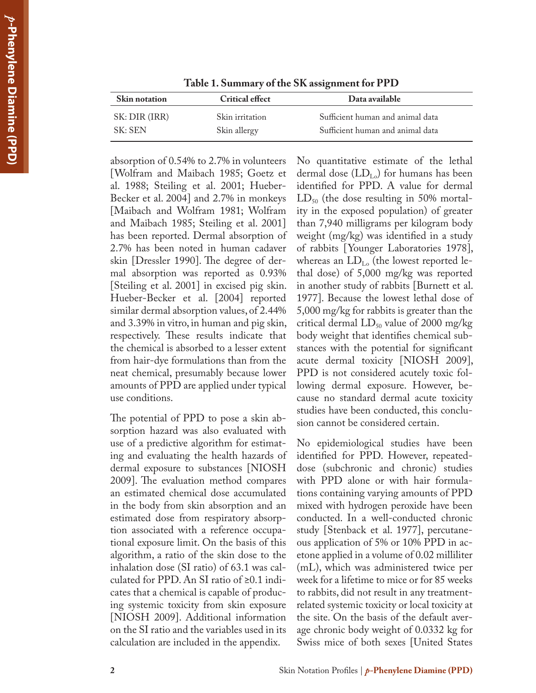| <b>Skin notation</b> | <b>Critical effect</b> | Data available                   |  |
|----------------------|------------------------|----------------------------------|--|
| SK: DIR (IRR)        | Skin irritation        | Sufficient human and animal data |  |
| SK: SEN              | Skin allergy           | Sufficient human and animal data |  |

**Table 1. Summary of the SK assignment for PPD**

absorption of 0.54% to 2.7% in volunteers [Wolfram and Maibach 1985; Goetz et al. 1988; Steiling et al. 2001; Hueber-Becker et al. 2004] and 2.7% in monkeys [Maibach and Wolfram 1981; Wolfram and Maibach 1985; Steiling et al. 2001] has been reported. Dermal absorption of 2.7% has been noted in human cadaver skin [Dressler 1990]. The degree of dermal absorption was reported as 0.93% [Steiling et al. 2001] in excised pig skin. Hueber-Becker et al. [2004] reported similar dermal absorption values, of 2.44% and 3.39% in vitro, in human and pig skin, respectively. These results indicate that the chemical is absorbed to a lesser extent from hair-dye formulations than from the neat chemical, presumably because lower amounts of PPD are applied under typical use conditions.

The potential of PPD to pose a skin absorption hazard was also evaluated with use of a predictive algorithm for estimating and evaluating the health hazards of dermal exposure to substances [NIOSH 2009]. The evaluation method compares an estimated chemical dose accumulated in the body from skin absorption and an estimated dose from respiratory absorption associated with a reference occupational exposure limit. On the basis of this algorithm, a ratio of the skin dose to the inhalation dose (SI ratio) of 63.1 was calculated for PPD. An SI ratio of ≥0.1 indicates that a chemical is capable of producing systemic toxicity from skin exposure [NIOSH 2009]. Additional information on the SI ratio and the variables used in its calculation are included in the appendix.

No quantitative estimate of the lethal dermal dose  $(LD_{L_0})$  for humans has been identified for PPD. A value for dermal  $LD_{50}$  (the dose resulting in 50% mortality in the exposed population) of greater than 7,940 milligrams per kilogram body weight (mg/kg) was identified in a study of rabbits [Younger Laboratories 1978], whereas an  $LD_{L_0}$  (the lowest reported lethal dose) of 5,000 mg/kg was reported in another study of rabbits [Burnett et al. 1977]. Because the lowest lethal dose of 5,000 mg/kg for rabbits is greater than the critical dermal  $LD_{50}$  value of 2000 mg/kg body weight that identifies chemical substances with the potential for significant acute dermal toxicity [NIOSH 2009], PPD is not considered acutely toxic following dermal exposure. However, because no standard dermal acute toxicity studies have been conducted, this conclusion cannot be considered certain.

No epidemiological studies have been identified for PPD. However, repeateddose (subchronic and chronic) studies with PPD alone or with hair formulations containing varying amounts of PPD mixed with hydrogen peroxide have been conducted. In a well-conducted chronic study [Stenback et al. 1977], percutaneous application of 5% or 10% PPD in acetone applied in a volume of 0.02 milliliter (mL), which was administered twice per week for a lifetime to mice or for 85 weeks to rabbits, did not result in any treatmentrelated systemic toxicity or local toxicity at the site. On the basis of the default average chronic body weight of 0.0332 kg for Swiss mice of both sexes [United States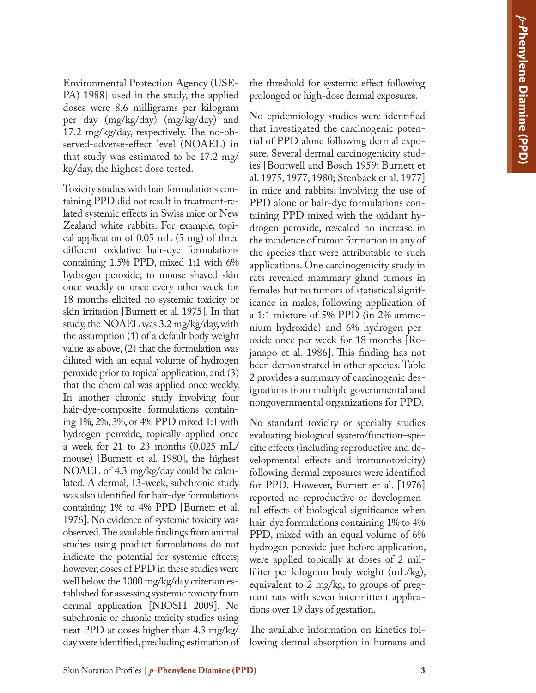Environmental Protection Agency (USE-PA) 1988] used in the study, the applied doses were 8.6 milligrams per kilogram per day (mg/kg/day) (mg/kg/day) and 17.2 mg/kg/day, respectively. The no-observed-adverse-effect level (NOAEL) in that study was estimated to be 17.2 mg/ kg/day, the highest dose tested.

Toxicity studies with hair formulations containing PPD did not result in treatment-related systemic effects in Swiss mice or New Zealand white rabbits. For example, topical application of  $0.05$  mL  $(5 \text{ mg})$  of three different oxidative hair-dye formulations containing 1.5% PPD, mixed 1:1 with 6% hydrogen peroxide, to mouse shaved skin once weekly or once every other week for 18 months elicited no systemic toxicity or skin irritation [Burnett et al. 1975]. In that study, the NOAEL was 3.2 mg/kg/day, with the assumption (1) of a default body weight value as above, (2) that the formulation was diluted with an equal volume of hydrogen peroxide prior to topical application, and (3) that the chemical was applied once weekly. In another chronic study involving four hair-dye-composite formulations containing 1%, 2%, 3%, or 4% PPD mixed 1:1 with hydrogen peroxide, topically applied once a week for 21 to 23 months (0.025 mL/ mouse) [Burnett et al. 1980], the highest NOAEL of 4.3 mg/kg/day could be calculated. A dermal, 13-week, subchronic study was also identified for hair-dye formulations containing 1% to 4% PPD [Burnett et al. 1976]. No evidence of systemic toxicity was observed. The available findings from animal studies using product formulations do not indicate the potential for systemic effects; however, doses of PPD in these studies were well below the 1000 mg/kg/day criterion established for assessing systemic toxicity from dermal application [NIOSH 2009]. No subchronic or chronic toxicity studies using neat PPD at doses higher than 4.3 mg/kg/ day were identified, precluding estimation of the threshold for systemic effect following prolonged or high-dose dermal exposures.

No epidemiology studies were identified that investigated the carcinogenic potential of PPD alone following dermal exposure. Several dermal carcinogenicity studies [Boutwell and Bosch 1959; Burnett et al. 1975, 1977, 1980; Stenback et al. 1977] in mice and rabbits, involving the use of PPD alone or hair-dye formulations containing PPD mixed with the oxidant hydrogen peroxide, revealed no increase in the incidence of tumor formation in any of the species that were attributable to such applications. One carcinogenicity study in rats revealed mammary gland tumors in females but no tumors of statistical significance in males, following application of a 1:1 mixture of 5% PPD (in 2% ammonium hydroxide) and 6% hydrogen peroxide once per week for 18 months [Rojanapo et al. 1986]. This finding has not been demonstrated in other species. Table 2 provides a summary of carcinogenic designations from multiple governmental and nongovernmental organizations for PPD.

No standard toxicity or specialty studies evaluating biological system/function–specific effects (including reproductive and developmental effects and immunotoxicity) following dermal exposures were identified for PPD. However, Burnett et al. [1976] reported no reproductive or developmental effects of biological significance when hair-dye formulations containing 1% to 4% PPD, mixed with an equal volume of 6% hydrogen peroxide just before application, were applied topically at doses of 2 milliliter per kilogram body weight (mL/kg), equivalent to 2 mg/kg, to groups of pregnant rats with seven intermittent applications over 19 days of gestation.

The available information on kinetics following dermal absorption in humans and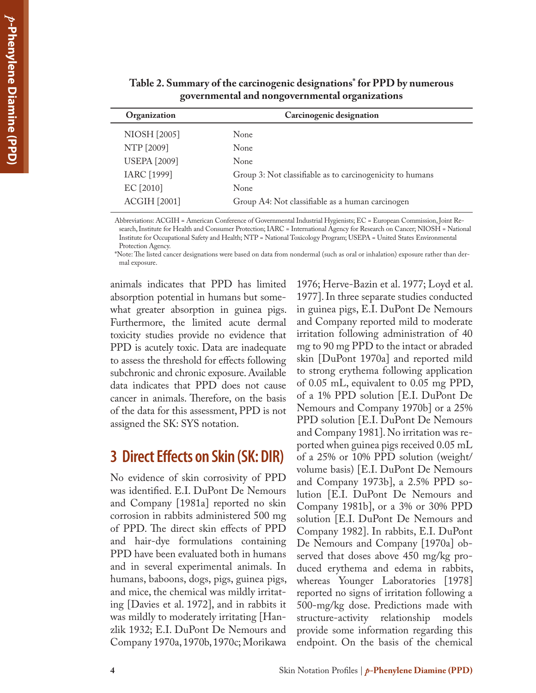| governmental and nongovernmental organizations |                                                           |  |  |  |  |
|------------------------------------------------|-----------------------------------------------------------|--|--|--|--|
| Organization                                   | Carcinogenic designation                                  |  |  |  |  |
| NIOSH [2005]                                   | None                                                      |  |  |  |  |
| NTP [2009]                                     | <b>None</b>                                               |  |  |  |  |
| <b>USEPA</b> [2009]                            | None                                                      |  |  |  |  |
| IARC [1999]                                    | Group 3: Not classifiable as to carcinogenicity to humans |  |  |  |  |
| EC <sup>[2010]</sup>                           | None                                                      |  |  |  |  |
| <b>ACGIH [2001]</b>                            | Group A4: Not classifiable as a human carcinogen          |  |  |  |  |
|                                                |                                                           |  |  |  |  |

#### **Table 2. Summary of the carcinogenic designations\* for PPD by numerous governmental and nongovernmental organizations**

Abbreviations: ACGIH = American Conference of Governmental Industrial Hygienists; EC = European Commission, Joint Research, Institute for Health and Consumer Protection; IARC = International Agency for Research on Cancer; NIOSH = National Institute for Occupational Safety and Health; NTP = National Toxicology Program; USEPA = United States Environmental Protection Agency.

\*Note: The listed cancer designations were based on data from nondermal (such as oral or inhalation) exposure rather than dermal exposure.

animals indicates that PPD has limited absorption potential in humans but somewhat greater absorption in guinea pigs. Furthermore, the limited acute dermal toxicity studies provide no evidence that PPD is acutely toxic. Data are inadequate to assess the threshold for effects following subchronic and chronic exposure. Available data indicates that PPD does not cause cancer in animals. Therefore, on the basis of the data for this assessment, PPD is not assigned the SK: SYS notation.

## **3 Direct Effects on Skin (SK: DIR)**

No evidence of skin corrosivity of PPD was identified. E.I. DuPont De Nemours and Company [1981a] reported no skin corrosion in rabbits administered 500 mg of PPD. The direct skin effects of PPD and hair-dye formulations containing PPD have been evaluated both in humans and in several experimental animals. In humans, baboons, dogs, pigs, guinea pigs, and mice, the chemical was mildly irritating [Davies et al. 1972], and in rabbits it was mildly to moderately irritating [Hanzlik 1932; E.I. DuPont De Nemours and Company 1970a, 1970b, 1970c; Morikawa

1976; Herve-Bazin et al. 1977; Loyd et al. 1977]. In three separate studies conducted in guinea pigs, E.I. DuPont De Nemours and Company reported mild to moderate irritation following administration of 40 mg to 90 mg PPD to the intact or abraded skin [DuPont 1970a] and reported mild to strong erythema following application of 0.05 mL, equivalent to 0.05 mg PPD, of a 1% PPD solution [E.I. DuPont De Nemours and Company 1970b] or a 25% PPD solution [E.I. DuPont De Nemours and Company 1981]. No irritation was reported when guinea pigs received 0.05 mL of a 25% or 10% PPD solution (weight/ volume basis) [E.I. DuPont De Nemours and Company 1973b], a 2.5% PPD solution [E.I. DuPont De Nemours and Company 1981b], or a 3% or 30% PPD solution [E.I. DuPont De Nemours and Company 1982]. In rabbits, E.I. DuPont De Nemours and Company [1970a] observed that doses above 450 mg/kg produced erythema and edema in rabbits, whereas Younger Laboratories [1978] reported no signs of irritation following a 500-mg/kg dose. Predictions made with structure-activity relationship models provide some information regarding this endpoint. On the basis of the chemical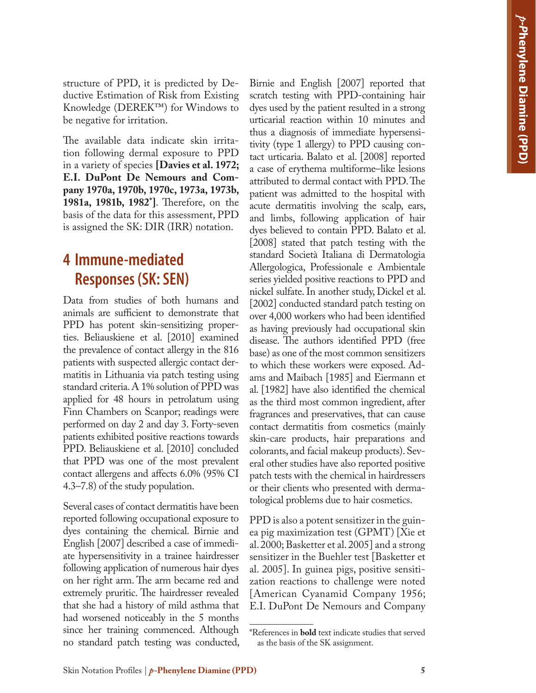structure of PPD, it is predicted by Deductive Estimation of Risk from Existing Knowledge (DEREK™) for Windows to be negative for irritation.

The available data indicate skin irritation following dermal exposure to PPD in a variety of species **[Davies et al. 1972; E.I. DuPont De Nemours and Company 1970a, 1970b, 1970c, 1973a, 1973b, 1981a, 1981b, 1982\*]**. Therefore, on the basis of the data for this assessment, PPD is assigned the SK: DIR (IRR) notation.

## **4 Immune-mediated Responses (SK: SEN)**

Data from studies of both humans and animals are sufficient to demonstrate that PPD has potent skin-sensitizing properties. Beliauskiene et al. [2010] examined the prevalence of contact allergy in the 816 patients with suspected allergic contact dermatitis in Lithuania via patch testing using standard criteria. A 1% solution of PPD was applied for 48 hours in petrolatum using Finn Chambers on Scanpor; readings were performed on day 2 and day 3. Forty-seven patients exhibited positive reactions towards PPD. Beliauskiene et al. [2010] concluded that PPD was one of the most prevalent contact allergens and affects 6.0% (95% CI 4.3–7.8) of the study population.

Several cases of contact dermatitis have been reported following occupational exposure to dyes containing the chemical. Birnie and English [2007] described a case of immediate hypersensitivity in a trainee hairdresser following application of numerous hair dyes on her right arm. The arm became red and extremely pruritic. The hairdresser revealed that she had a history of mild asthma that had worsened noticeably in the 5 months since her training commenced. Although no standard patch testing was conducted,

Birnie and English [2007] reported that scratch testing with PPD-containing hair dyes used by the patient resulted in a strong urticarial reaction within 10 minutes and thus a diagnosis of immediate hypersensitivity (type 1 allergy) to PPD causing contact urticaria. Balato et al. [2008] reported a case of erythema multiforme–like lesions attributed to dermal contact with PPD. The patient was admitted to the hospital with acute dermatitis involving the scalp, ears, and limbs, following application of hair dyes believed to contain PPD. Balato et al. [2008] stated that patch testing with the standard Società Italiana di Dermatologia Allergologica, Professionale e Ambientale series yielded positive reactions to PPD and nickel sulfate. In another study, Dickel et al. [2002] conducted standard patch testing on over 4,000 workers who had been identified as having previously had occupational skin disease. The authors identified PPD (free base) as one of the most common sensitizers to which these workers were exposed. Adams and Maibach [1985] and Eiermann et al. [1982] have also identified the chemical as the third most common ingredient, after fragrances and preservatives, that can cause contact dermatitis from cosmetics (mainly skin-care products, hair preparations and colorants, and facial makeup products). Several other studies have also reported positive patch tests with the chemical in hairdressers or their clients who presented with dermatological problems due to hair cosmetics.

PPD is also a potent sensitizer in the guinea pig maximization test (GPMT) [Xie et al. 2000; Basketter et al. 2005] and a strong sensitizer in the Buehler test [Basketter et al. 2005]. In guinea pigs, positive sensitization reactions to challenge were noted [American Cyanamid Company 1956; E.I. DuPont De Nemours and Company

<sup>\*</sup>References in **bold** text indicate studies that served as the basis of the SK assignment.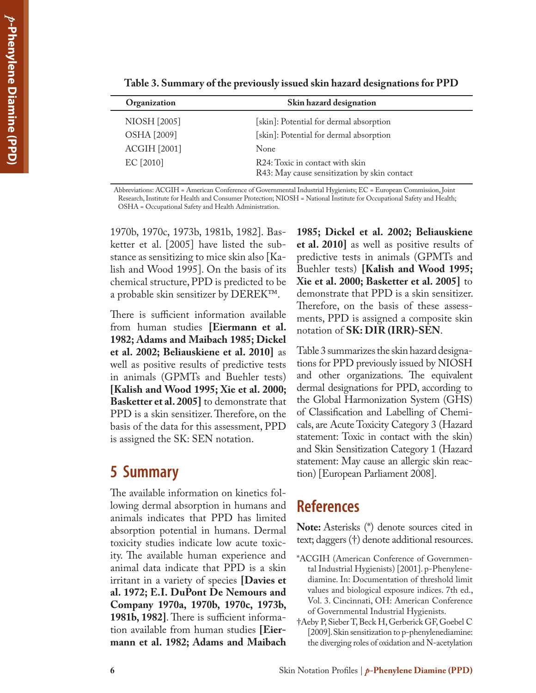| Skin hazard designation                                                         |  |
|---------------------------------------------------------------------------------|--|
| [skin]: Potential for dermal absorption                                         |  |
| [skin]: Potential for dermal absorption                                         |  |
| None                                                                            |  |
| R24: Toxic in contact with skin<br>R43: May cause sensitization by skin contact |  |
|                                                                                 |  |

**Table 3. Summary of the previously issued skin hazard designations for PPD** 

Abbreviations: ACGIH = American Conference of Governmental Industrial Hygienists; EC = European Commission, Joint Research, Institute for Health and Consumer Protection; NIOSH = National Institute for Occupational Safety and Health; OSHA = Occupational Safety and Health Administration.

1970b, 1970c, 1973b, 1981b, 1982]. Basketter et al. [2005] have listed the substance as sensitizing to mice skin also [Kalish and Wood 1995]. On the basis of its chemical structure, PPD is predicted to be a probable skin sensitizer by DEREK™.

There is sufficient information available from human studies **[Eiermann et al. 1982; Adams and Maibach 1985; Dickel et al. 2002; Beliauskiene et al. 2010]** as well as positive results of predictive tests in animals (GPMTs and Buehler tests) **[Kalish and Wood 1995; Xie et al. 2000; Basketter et al. 2005]** to demonstrate that PPD is a skin sensitizer. Therefore, on the basis of the data for this assessment, PPD is assigned the SK: SEN notation.

## **5 Summary**

The available information on kinetics following dermal absorption in humans and animals indicates that PPD has limited absorption potential in humans. Dermal toxicity studies indicate low acute toxicity. The available human experience and animal data indicate that PPD is a skin irritant in a variety of species **[Davies et al. 1972; E.I. DuPont De Nemours and Company 1970a, 1970b, 1970c, 1973b, 1981b, 1982]**. There is sufficient information available from human studies **[Eiermann et al. 1982; Adams and Maibach** 

**1985; Dickel et al. 2002; Beliauskiene et al. 2010]** as well as positive results of predictive tests in animals (GPMTs and Buehler tests) **[Kalish and Wood 1995; Xie et al. 2000; Basketter et al. 2005]** to demonstrate that PPD is a skin sensitizer. Therefore, on the basis of these assessments, PPD is assigned a composite skin notation of **SK: DIR (IRR)-SEN**.

Table 3 summarizes the skin hazard designations for PPD previously issued by NIOSH and other organizations. The equivalent dermal designations for PPD, according to the Global Harmonization System (GHS) of Classification and Labelling of Chemicals, are Acute Toxicity Category 3 (Hazard statement: Toxic in contact with the skin) and Skin Sensitization Category 1 (Hazard statement: May cause an allergic skin reaction) [European Parliament 2008].

## **References**

**Note:** Asterisks (\*) denote sources cited in text; daggers (†) denote additional resources.

- \*ACGIH (American Conference of Governmental Industrial Hygienists) [2001]. p-Phenylenediamine. In: Documentation of threshold limit values and biological exposure indices. 7th ed., Vol. 3. Cincinnati, OH: American Conference of Governmental Industrial Hygienists.
- †Aeby P, Sieber T, Beck H, Gerberick GF, Goebel C [2009]. Skin sensitization to p-phenylenediamine: the diverging roles of oxidation and N-acetylation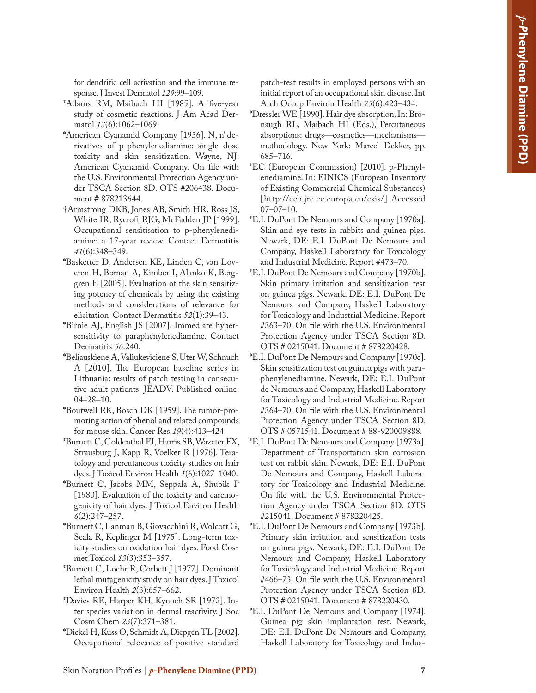for dendritic cell activation and the immune response. J Invest Dermatol *129*:99–109.

- \*Adams RM, Maibach HI [1985]. A five-year study of cosmetic reactions. J Am Acad Dermatol *13*(6):1062–1069.
- \*American Cyanamid Company [1956]. N, n' derivatives of p-phenylenediamine: single dose toxicity and skin sensitization. Wayne, NJ: American Cyanamid Company. On file with the U.S. Environmental Protection Agency under TSCA Section 8D. OTS #206438. Document # 878213644.
- †Armstrong DKB, Jones AB, Smith HR, Ross JS, White IR, Rycroft RJG, McFadden JP [1999]. Occupational sensitisation to p-phenylenediamine: a 17-year review. Contact Dermatitis *41*(6):348–349.
- \*Basketter D, Andersen KE, Linden C, van Loveren H, Boman A, Kimber I, Alanko K, Berggren E [2005]. Evaluation of the skin sensitizing potency of chemicals by using the existing methods and considerations of relevance for elicitation. Contact Dermatitis *52*(1):39–43.
- \*Birnie AJ, English JS [2007]. Immediate hypersensitivity to paraphenylenediamine. Contact Dermatitis *56*:240.
- \*Beliauskiene A, Valiukeviciene S, Uter W, Schnuch A [2010]. The European baseline series in Lithuania: results of patch testing in consecutive adult patients. JEADV. Published online: 04–28–10.
- \*Boutwell RK, Bosch DK [1959]. The tumor-promoting action of phenol and related compounds for mouse skin. Cancer Res *19*(4):413–424.
- \*Burnett C, Goldenthal EI, Harris SB, Wazeter FX, Strausburg J, Kapp R, Voelker R [1976]. Teratology and percutaneous toxicity studies on hair dyes. J Toxicol Environ Health *1*(6):1027–1040.
- \*Burnett C, Jacobs MM, Seppala A, Shubik P [1980]. Evaluation of the toxicity and carcinogenicity of hair dyes. J Toxicol Environ Health *6*(2):247–257.
- \*Burnett C, Lanman B, Giovacchini R, Wolcott G, Scala R, Keplinger M [1975]. Long-term toxicity studies on oxidation hair dyes. Food Cosmet Toxicol *13*(3):353–357.
- \*Burnett C, Loehr R, Corbett J [1977]. Dominant lethal mutagenicity study on hair dyes. J Toxicol Environ Health *2*(3):657–662.
- \*Davies RE, Harper KH, Kynoch SR [1972]. Inter species variation in dermal reactivity. J Soc Cosm Chem *23*(7):371–381.
- \*Dickel H, Kuss O, Schmidt A, Diepgen TL [2002]. Occupational relevance of positive standard

patch-test results in employed persons with an initial report of an occupational skin disease. Int Arch Occup Environ Health *75*(6):423–434.

- \*Dressler WE [1990]. Hair dye absorption. In: Bronaugh RL, Maibach HI (Eds.), Percutaneous absorptions: drugs—cosmetics—mechanisms methodology. New York: Marcel Dekker, pp. 685–716.
- \*EC (European Commission) [2010]. p-Phenylenediamine. In: EINICS (European Inventory of Existing Commercial Chemical Substances) [http://ecb.jrc.ec.europa.eu/esis/].Accessed 07–07–10.
- \*E.I. DuPont De Nemours and Company [1970a]. Skin and eye tests in rabbits and guinea pigs. Newark, DE: E.I. DuPont De Nemours and Company, Haskell Laboratory for Toxicology and Industrial Medicine. Report #473–70.
- \*E.I. DuPont De Nemours and Company [1970b]. Skin primary irritation and sensitization test on guinea pigs. Newark, DE: E.I. DuPont De Nemours and Company, Haskell Laboratory for Toxicology and Industrial Medicine. Report #363–70. On file with the U.S. Environmental Protection Agency under TSCA Section 8D. OTS # 0215041. Document # 878220428.
- \*E.I. DuPont De Nemours and Company [1970c]. Skin sensitization test on guinea pigs with paraphenylenediamine. Newark, DE: E.I. DuPont de Nemours and Company, Haskell Laboratory for Toxicology and Industrial Medicine. Report #364–70. On file with the U.S. Environmental Protection Agency under TSCA Section 8D. OTS # 0571541. Document # 88-920009888.
- \*E.I. DuPont De Nemours and Company [1973a]. Department of Transportation skin corrosion test on rabbit skin. Newark, DE: E.I. DuPont De Nemours and Company, Haskell Laboratory for Toxicology and Industrial Medicine. On file with the U.S. Environmental Protection Agency under TSCA Section 8D. OTS #215041. Document # 878220425.
- \*E.I. DuPont De Nemours and Company [1973b]. Primary skin irritation and sensitization tests on guinea pigs. Newark, DE: E.I. DuPont De Nemours and Company, Haskell Laboratory for Toxicology and Industrial Medicine. Report #466–73. On file with the U.S. Environmental Protection Agency under TSCA Section 8D. OTS # 0215041. Document # 878220430.
- \*E.I. DuPont De Nemours and Company [1974]. Guinea pig skin implantation test. Newark, DE: E.I. DuPont De Nemours and Company, Haskell Laboratory for Toxicology and Indus-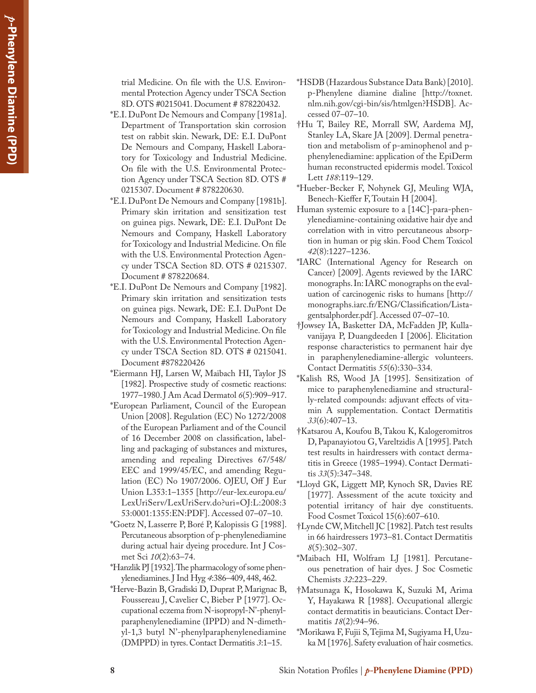trial Medicine. On file with the U.S. Environmental Protection Agency under TSCA Section 8D. OTS #0215041. Document # 878220432.

- \*E.I. DuPont De Nemours and Company [1981a]. Department of Transportation skin corrosion test on rabbit skin. Newark, DE: E.I. DuPont De Nemours and Company, Haskell Laboratory for Toxicology and Industrial Medicine. On file with the U.S. Environmental Protection Agency under TSCA Section 8D. OTS # 0215307. Document # 878220630.
- \*E.I. DuPont De Nemours and Company [1981b]. Primary skin irritation and sensitization test on guinea pigs. Newark, DE: E.I. DuPont De Nemours and Company, Haskell Laboratory for Toxicology and Industrial Medicine. On file with the U.S. Environmental Protection Agency under TSCA Section 8D. OTS # 0215307. Document # 878220684.
- \*E.I. DuPont De Nemours and Company [1982]. Primary skin irritation and sensitization tests on guinea pigs. Newark, DE: E.I. DuPont De Nemours and Company, Haskell Laboratory for Toxicology and Industrial Medicine. On file with the U.S. Environmental Protection Agency under TSCA Section 8D. OTS # 0215041. Document #878220426
- \*Eiermann HJ, Larsen W, Maibach HI, Taylor JS [1982]. Prospective study of cosmetic reactions: 1977–1980. J Am Acad Dermatol *6*(5):909–917.
- \*European Parliament, Council of the European Union [2008]. Regulation (EC) No 1272/2008 of the European Parliament and of the Council of 16 December 2008 on classification, labelling and packaging of substances and mixtures, amending and repealing Directives 67/548/ EEC and 1999/45/EC, and amending Regulation (EC) No 1907/2006. OJEU, Off J Eur Union L353:1–1355 [http://eur-lex.europa.eu/ LexUriServ/LexUriServ.do?uri=OJ:L:2008:3 53:0001:1355:EN:PDF]. Accessed 07–07–10.
- \*Goetz N, Lasserre P, Boré P, Kalopissis G [1988]. Percutaneous absorption of p-phenylenediamine during actual hair dyeing procedure. Int J Cosmet Sci *10*(2):63–74.
- \*Hanzlik PJ [1932]. The pharmacology of some phenylenediamines. J Ind Hyg *4*:386–409, 448, 462.
- \*Herve-Bazin B, Gradiski D, Duprat P, Marignac B, Foussereau J, Cavelier C, Bieber P [1977]. Occupational eczema from N-isopropyl-N'-phenylparaphenylenediamine (IPPD) and N-dimethyl-1,3 butyl N'-phenylparaphenylenediamine (DMPPD) in tyres. Contact Dermatitis *3*:1–15.
- \*HSDB (Hazardous Substance Data Bank) [2010]. p-Phenylene diamine dialine [http://toxnet. nlm.nih.gov/cgi-bin/sis/htmlgen?HSDB]. Accessed 07–07–10.
- †Hu T, Bailey RE, Morrall SW, Aardema MJ, Stanley LA, Skare JA [2009]. Dermal penetration and metabolism of p-aminophenol and pphenylenediamine: application of the EpiDerm human reconstructed epidermis model. Toxicol Lett *188*:119–129.
- \*Hueber-Becker F, Nohynek GJ, Meuling WJA, Benech-Kieffer F, Toutain H [2004].
- Human systemic exposure to a [14C]-para-phenylenediamine-containing oxidative hair dye and correlation with in vitro percutaneous absorption in human or pig skin. Food Chem Toxicol *42*(8):1227–1236.
- \*IARC (International Agency for Research on Cancer) [2009]. Agents reviewed by the IARC monographs. In: IARC monographs on the evaluation of carcinogenic risks to humans [http:// monographs.iarc.fr/ENG/Classification/Listagentsalphorder.pdf]. Accessed 07–07–10.
- †Jowsey IA, Basketter DA, McFadden JP, Kullavanijaya P, Duangdeeden I [2006]. Elicitation response characteristics to permanent hair dye in paraphenylenediamine-allergic volunteers. Contact Dermatitis *55*(6):330–334.
- \*Kalish RS, Wood JA [1995]. Sensitization of mice to paraphenylenediamine and structurally-related compounds: adjuvant effects of vitamin A supplementation. Contact Dermatitis *33*(6):407–13.
- †Katsarou A, Koufou B, Takou K, Kalogeromitros D, Papanayiotou G, Vareltzidis A [1995]. Patch test results in hairdressers with contact dermatitis in Greece (1985–1994). Contact Dermatitis *33*(5):347–348.
- \*Lloyd GK, Liggett MP, Kynoch SR, Davies RE [1977]. Assessment of the acute toxicity and potential irritancy of hair dye constituents. Food Cosmet Toxicol 15(6):607–610.
- †Lynde CW, Mitchell JC [1982]. Patch test results in 66 hairdressers 1973–81. Contact Dermatitis *8*(5):302–307.
- \*Maibach HI, Wolfram LJ [1981]. Percutaneous penetration of hair dyes. J Soc Cosmetic Chemists *32*:223–229.
- †Matsunaga K, Hosokawa K, Suzuki M, Arima Y, Hayakawa R [1988]. Occupational allergic contact dermatitis in beauticians. Contact Dermatitis *18*(2):94–96.
- \*Morikawa F, Fujii S, Tejima M, Sugiyama H, Uzuka M [1976]. Safety evaluation of hair cosmetics.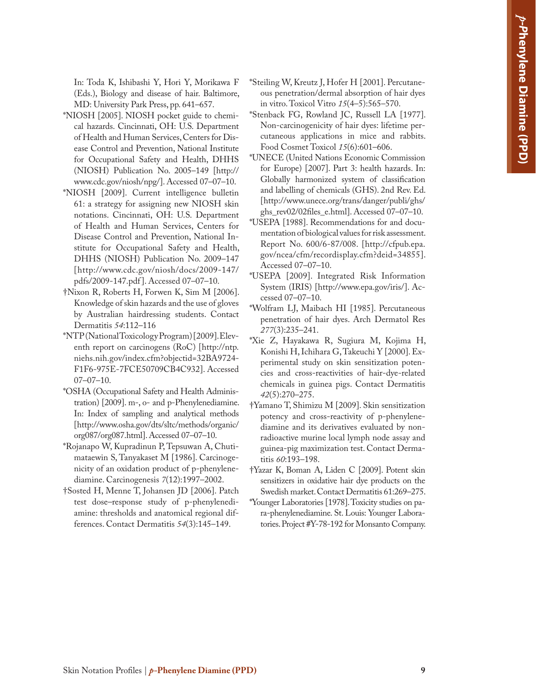In: Toda K, Ishibashi Y, Hori Y, Morikawa F (Eds.), Biology and disease of hair. Baltimore, MD: University Park Press, pp. 641–657.

- \*NIOSH [2005]. NIOSH pocket guide to chemical hazards. Cincinnati, OH: U.S. Department of Health and Human Services, Centers for Disease Control and Prevention, National Institute for Occupational Safety and Health, DHHS (NIOSH) Publication No. 2005–149 [http:// www.cdc.gov/niosh/npg/]. Accessed 07–07–10.
- \*NIOSH [2009]. Current intelligence bulletin 61: a strategy for assigning new NIOSH skin notations. Cincinnati, OH: U.S. Department of Health and Human Services, Centers for Disease Control and Prevention, National Institute for Occupational Safety and Health, DHHS (NIOSH) Publication No. 2009–147 [http://www.cdc.gov/niosh/docs/2009-147/ pdfs/2009-147.pdf ]. Accessed 07–07–10.
- †Nixon R, Roberts H, Forwen K, Sim M [2006]. Knowledge of skin hazards and the use of gloves by Australian hairdressing students. Contact Dermatitis *54*:112–116
- \*NTP (National Toxicology Program) [2009]. Eleventh report on carcinogens (RoC) [http://ntp. niehs.nih.gov/index.cfm?objectid=32BA9724- F1F6-975E-7FCE50709CB4C932]. Accessed 07–07–10.
- \*OSHA (Occupational Safety and Health Administration) [2009]. m-, o- and p-Phenylenediamine. In: Index of sampling and analytical methods [http://www.osha.gov/dts/sltc/methods/organic/ org087/org087.html]. Accessed 07–07–10.
- \*Rojanapo W, Kupradinun P, Tepsuwan A, Chutimataewin S, Tanyakaset M [1986]. Carcinogenicity of an oxidation product of p-phenylenediamine. Carcinogenesis *7*(12):1997–2002.
- †Sosted H, Menne T, Johansen JD [2006]. Patch test dose–response study of p-phenylenediamine: thresholds and anatomical regional differences. Contact Dermatitis *54*(3):145–149.
- \*Steiling W, Kreutz J, Hofer H [2001]. Percutaneous penetration/dermal absorption of hair dyes in vitro. Toxicol Vitro *15*(4–5):565–570.
- \*Stenback FG, Rowland JC, Russell LA [1977]. Non-carcinogenicity of hair dyes: lifetime percutaneous applications in mice and rabbits. Food Cosmet Toxicol *15*(6):601–606.
- \*UNECE (United Nations Economic Commission for Europe) [2007]. Part 3: health hazards. In: Globally harmonized system of classification and labelling of chemicals (GHS). 2nd Rev. Ed. [http://www.unece.org/trans/danger/publi/ghs/ ghs\_rev02/02files\_e.html]. Accessed 07–07–10.
- \*USEPA [1988]. Recommendations for and documentation of biological values for risk assessment. Report No. 600/6-87/008. [http://cfpub.epa. gov/ncea/cfm/recordisplay.cfm?deid=34855]. Accessed 07–07–10.
- \*USEPA [2009]. Integrated Risk Information System (IRIS) [http://www.epa.gov/iris/]. Accessed 07–07–10.
- \*Wolfram LJ, Maibach HI [1985]. Percutaneous penetration of hair dyes. Arch Dermatol Res *277*(3):235–241.
- \*Xie Z, Hayakawa R, Sugiura M, Kojima H, Konishi H, Ichihara G, Takeuchi Y [2000]. Experimental study on skin sensitization potencies and cross-reactivities of hair-dye-related chemicals in guinea pigs. Contact Dermatitis *42*(5):270–275.
- †Yamano T, Shimizu M [2009]. Skin sensitization potency and cross-reactivity of p-phenylenediamine and its derivatives evaluated by nonradioactive murine local lymph node assay and guinea-pig maximization test. Contact Dermatitis *60*:193–198.
- †Yazar K, Boman A, Liden C [2009]. Potent skin sensitizers in oxidative hair dye products on the Swedish market. Contact Dermatitis 61:269–275.
- \*Younger Laboratories [1978]. Toxicity studies on para-phenylenediamine. St. Louis: Younger Laboratories. Project #Y-78-192 for Monsanto Company.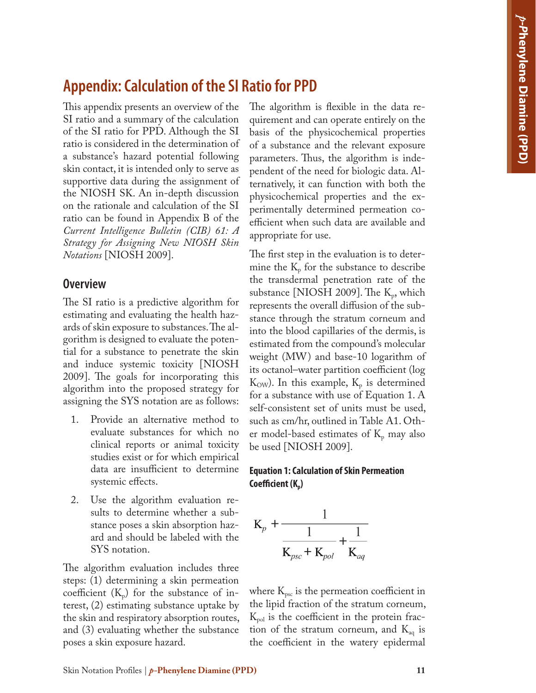## **Appendix: Calculation of the SI Ratio for PPD**

This appendix presents an overview of the SI ratio and a summary of the calculation of the SI ratio for PPD. Although the SI ratio is considered in the determination of a substance's hazard potential following skin contact, it is intended only to serve as supportive data during the assignment of the NIOSH SK. An in-depth discussion on the rationale and calculation of the SI ratio can be found in Appendix B of the *Current Intelligence Bulletin (CIB) 61: A Strategy for Assigning New NIOSH Skin Notations* [NIOSH 2009].

#### **Overview**

The SI ratio is a predictive algorithm for estimating and evaluating the health hazards of skin exposure to substances. The algorithm is designed to evaluate the potential for a substance to penetrate the skin and induce systemic toxicity [NIOSH 2009]. The goals for incorporating this algorithm into the proposed strategy for assigning the SYS notation are as follows:

- 1. Provide an alternative method to evaluate substances for which no clinical reports or animal toxicity studies exist or for which empirical data are insufficient to determine systemic effects.
- 2. Use the algorithm evaluation results to determine whether a substance poses a skin absorption hazard and should be labeled with the SYS notation.

The algorithm evaluation includes three steps: (1) determining a skin permeation coefficient  $(K_p)$  for the substance of interest, (2) estimating substance uptake by the skin and respiratory absorption routes, and (3) evaluating whether the substance poses a skin exposure hazard.

The algorithm is flexible in the data requirement and can operate entirely on the basis of the physicochemical properties of a substance and the relevant exposure parameters. Thus, the algorithm is independent of the need for biologic data. Alternatively, it can function with both the physicochemical properties and the experimentally determined permeation coefficient when such data are available and appropriate for use.

The first step in the evaluation is to determine the  $K_{\text{p}}$  for the substance to describe the transdermal penetration rate of the substance [NIOSH 2009]. The  $K_p$ , which represents the overall diffusion of the substance through the stratum corneum and into the blood capillaries of the dermis, is estimated from the compound's molecular weight (MW) and base-10 logarithm of its octanol–water partition coefficient (log  $K_{\text{OW}}$ ). In this example,  $K_{p}$  is determined for a substance with use of Equation 1. A self-consistent set of units must be used, such as cm/hr, outlined in Table A1. Other model-based estimates of  $K_p$  may also be used [NIOSH 2009].

#### **Equation 1: Calculation of Skin Permeation**  Coefficient (K<sub>n</sub>)



where  $K_{\text{psc}}$  is the permeation coefficient in the lipid fraction of the stratum corneum,  $K_{pol}$  is the coefficient in the protein fraction of the stratum corneum, and  $K_{aq}$  is the coefficient in the watery epidermal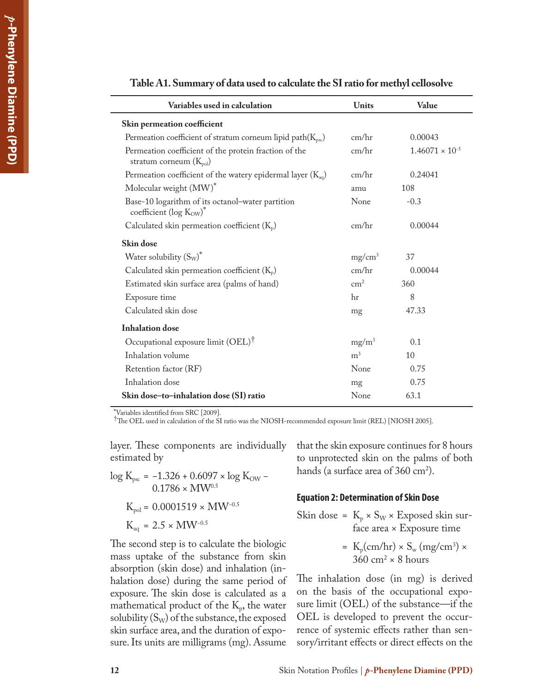| Variables used in calculation                                                        | <b>Units</b>   | Value                    |
|--------------------------------------------------------------------------------------|----------------|--------------------------|
| Skin permeation coefficient                                                          |                |                          |
| Permeation coefficient of stratum corneum lipid path $(K_{\text{psc}})$              | cm/hr          | 0.00043                  |
| Permeation coefficient of the protein fraction of the<br>stratum corneum $(K_{pol})$ | cm/hr          | $1.46071 \times 10^{-5}$ |
| Permeation coefficient of the watery epidermal layer $(K_{aq})$                      | cm/hr          | 0.24041                  |
| Molecular weight (MW)*                                                               | amu            | 108                      |
| Base-10 logarithm of its octanol-water partition<br>coefficient (log $K_{OW}$ )*     | None           | $-0.3$                   |
| Calculated skin permeation coefficient $(K_p)$                                       | cm/hr          | 0.00044                  |
| Skin dose                                                                            |                |                          |
| Water solubility $(S_W)^*$                                                           | $mg/cm^3$      | 37                       |
| Calculated skin permeation coefficient $(K_p)$                                       | cm/hr          | 0.00044                  |
| Estimated skin surface area (palms of hand)                                          | $\text{cm}^2$  | 360                      |
| Exposure time                                                                        | hr             | 8                        |
| Calculated skin dose                                                                 | mg             | 47.33                    |
| <b>Inhalation</b> dose                                                               |                |                          |
| Occupational exposure limit (OEL) <sup>†</sup>                                       | $mg/m^3$       | 0.1                      |
| Inhalation volume                                                                    | m <sup>3</sup> | 10                       |
| Retention factor (RF)                                                                | None           | 0.75                     |
| Inhalation dose                                                                      | mg             | 0.75                     |
| Skin dose-to-inhalation dose (SI) ratio                                              | None           | 63.1                     |

**Table A1. Summary of data used to calculate the SI ratio for methyl cellosolve** 

\*Variables identified from SRC [2009].

†The OEL used in calculation of the SI ratio was the NIOSH-recommended exposure limit (REL) [NIOSH 2005].

layer. These components are individually estimated by

log K<sub>psc</sub> = −1.326 + 0.6097 × log K<sub>OW</sub> −  $0.1786 \times MW^{0.5}$ 

$$
K_{\rm pol} = 0.0001519 \times MW^{-0.5}
$$

$$
K_{aq} = 2.5 \times MW^{-0.5}
$$

The second step is to calculate the biologic mass uptake of the substance from skin absorption (skin dose) and inhalation (inhalation dose) during the same period of exposure. The skin dose is calculated as a mathematical product of the  $K_p$ , the water solubility  $(S_W)$  of the substance, the exposed skin surface area, and the duration of exposure. Its units are milligrams (mg). Assume

that the skin exposure continues for 8 hours to unprotected skin on the palms of both hands (a surface area of  $360 \text{ cm}^2$ ).

#### **Equation 2: Determination of Skin Dose**

Skin dose = 
$$
K_p \times S_w \times E_x
$$
 posed skin sur-  
\nface area × Exposure time

= 
$$
K_p(cm/hr) \times S_w (mg/cm^3) \times 360 cm^2 \times 8 hours
$$

The inhalation dose (in mg) is derived on the basis of the occupational exposure limit (OEL) of the substance—if the OEL is developed to prevent the occurrence of systemic effects rather than sensory/irritant effects or direct effects on the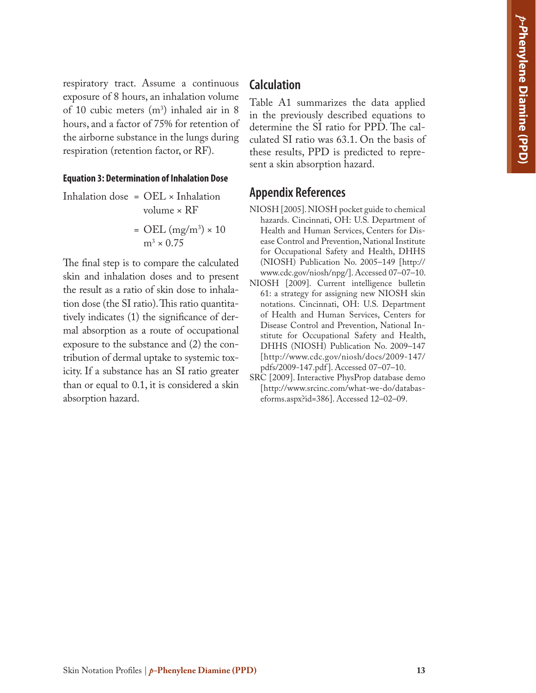respiratory tract. Assume a continuous exposure of 8 hours, an inhalation volume of 10 cubic meters  $(m^3)$  inhaled air in 8 hours, and a factor of 75% for retention of the airborne substance in the lungs during respiration (retention factor, or RF).

#### **Equation 3: Determination of Inhalation Dose**

Inhalation dose = OEL × Inhalation volume × RF

$$
= \text{OEL (mg/m³)} \times 10
$$

$$
m^3 \times 0.75
$$

The final step is to compare the calculated skin and inhalation doses and to present the result as a ratio of skin dose to inhalation dose (the SI ratio). This ratio quantitatively indicates (1) the significance of dermal absorption as a route of occupational exposure to the substance and (2) the contribution of dermal uptake to systemic toxicity. If a substance has an SI ratio greater than or equal to 0.1, it is considered a skin absorption hazard.

#### **Calculation**

Table A1 summarizes the data applied in the previously described equations to determine the SI ratio for PPD. The calculated SI ratio was 63.1. On the basis of these results, PPD is predicted to represent a skin absorption hazard.

#### **Appendix References**

- NIOSH [2005]. NIOSH pocket guide to chemical hazards. Cincinnati, OH: U.S. Department of Health and Human Services, Centers for Disease Control and Prevention, National Institute for Occupational Safety and Health, DHHS (NIOSH) Publication No. 2005–149 [http:// www.cdc.gov/niosh/npg/]. Accessed 07–07–10.
- NIOSH [2009]. Current intelligence bulletin 61: a strategy for assigning new NIOSH skin notations. Cincinnati, OH: U.S. Department of Health and Human Services, Centers for Disease Control and Prevention, National Institute for Occupational Safety and Health, DHHS (NIOSH) Publication No. 2009–147 [http://www.cdc.gov/niosh/docs/2009-147/ pdfs/2009-147.pdf ]. Accessed 07–07–10.
- SRC [2009]. Interactive PhysProp database demo [http://www.srcinc.com/what-we-do/databaseforms.aspx?id=386]. Accessed 12–02–09.